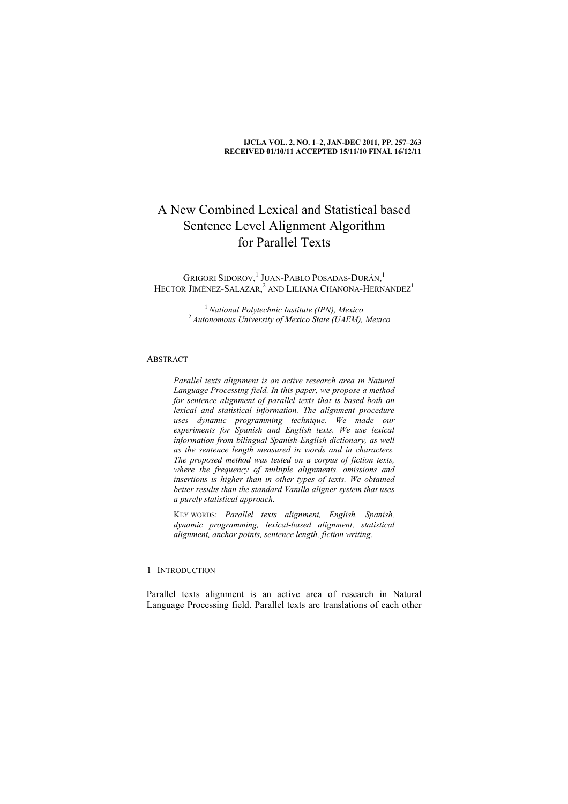#### **IJCLA VOL. 2, NO. 1–2, JAN-DEC 2011, PP. 257–263 RECEIVED 01/10/11 ACCEPTED 15/11/10 FINAL 16/12/11**

# A New Combined Lexical and Statistical based Sentence Level Alignment Algorithm for Parallel Texts

GRIGORI SIDOROV, 1 JUAN-PABLO POSADAS-DURÁN, 1 HECTOR JIMÉNEZ-SALAZAR,<sup>2</sup> AND LILIANA CHANONA-HERNANDEZ<sup>1</sup>

> <sup>1</sup>*National Polytechnic Institute (IPN), Mexico* <sup>2</sup>*Autonomous University of Mexico State (UAEM), Mexico*

## **ABSTRACT**

*Parallel texts alignment is an active research area in Natural Language Processing field. In this paper, we propose a method for sentence alignment of parallel texts that is based both on lexical and statistical information. The alignment procedure uses dynamic programming technique. We made our experiments for Spanish and English texts. We use lexical information from bilingual Spanish-English dictionary, as well as the sentence length measured in words and in characters. The proposed method was tested on a corpus of fiction texts, where the frequency of multiple alignments, omissions and insertions is higher than in other types of texts. We obtained better results than the standard Vanilla aligner system that uses a purely statistical approach.* 

KEY WORDS: *Parallel texts alignment, English, Spanish, dynamic programming, lexical-based alignment, statistical alignment, anchor points, sentence length, fiction writing.* 

# 1 INTRODUCTION

Parallel texts alignment is an active area of research in Natural Language Processing field. Parallel texts are translations of each other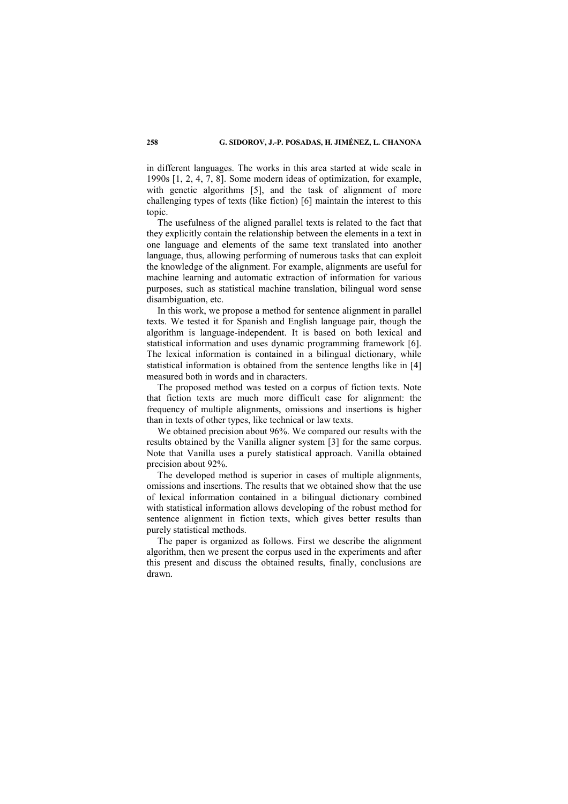in different languages. The works in this area started at wide scale in 1990s [1, 2, 4, 7, 8]. Some modern ideas of optimization, for example, with genetic algorithms [5], and the task of alignment of more challenging types of texts (like fiction) [6] maintain the interest to this topic.

The usefulness of the aligned parallel texts is related to the fact that they explicitly contain the relationship between the elements in a text in one language and elements of the same text translated into another language, thus, allowing performing of numerous tasks that can exploit the knowledge of the alignment. For example, alignments are useful for machine learning and automatic extraction of information for various purposes, such as statistical machine translation, bilingual word sense disambiguation, etc.

In this work, we propose a method for sentence alignment in parallel texts. We tested it for Spanish and English language pair, though the algorithm is language-independent. It is based on both lexical and statistical information and uses dynamic programming framework [6]. The lexical information is contained in a bilingual dictionary, while statistical information is obtained from the sentence lengths like in [4] measured both in words and in characters.

The proposed method was tested on a corpus of fiction texts. Note that fiction texts are much more difficult case for alignment: the frequency of multiple alignments, omissions and insertions is higher than in texts of other types, like technical or law texts.

We obtained precision about 96%. We compared our results with the results obtained by the Vanilla aligner system [3] for the same corpus. Note that Vanilla uses a purely statistical approach. Vanilla obtained precision about 92%.

The developed method is superior in cases of multiple alignments, omissions and insertions. The results that we obtained show that the use of lexical information contained in a bilingual dictionary combined with statistical information allows developing of the robust method for sentence alignment in fiction texts, which gives better results than purely statistical methods.

The paper is organized as follows. First we describe the alignment algorithm, then we present the corpus used in the experiments and after this present and discuss the obtained results, finally, conclusions are drawn.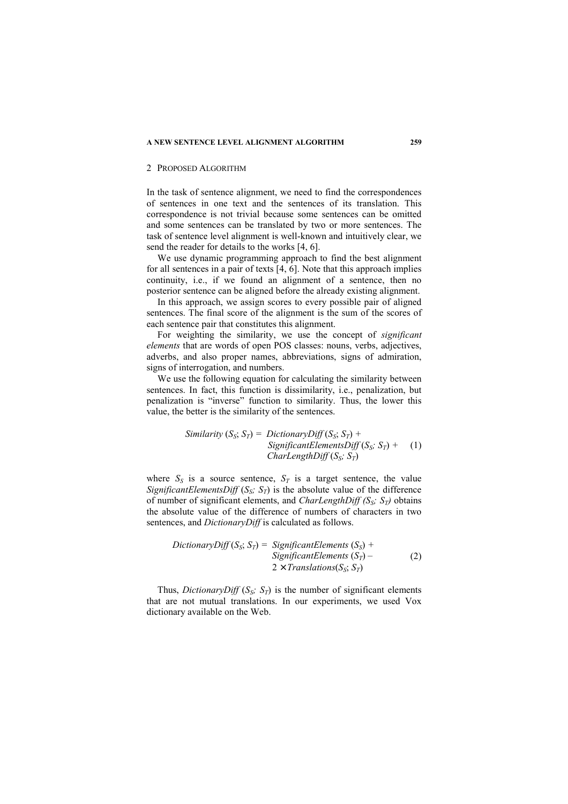#### 2 PROPOSED ALGORITHM

In the task of sentence alignment, we need to find the correspondences of sentences in one text and the sentences of its translation. This correspondence is not trivial because some sentences can be omitted and some sentences can be translated by two or more sentences. The task of sentence level alignment is well-known and intuitively clear, we send the reader for details to the works [4, 6].

We use dynamic programming approach to find the best alignment for all sentences in a pair of texts [4, 6]. Note that this approach implies continuity, i.e., if we found an alignment of a sentence, then no posterior sentence can be aligned before the already existing alignment.

In this approach, we assign scores to every possible pair of aligned sentences. The final score of the alignment is the sum of the scores of each sentence pair that constitutes this alignment.

For weighting the similarity, we use the concept of *significant elements* that are words of open POS classes: nouns, verbs, adjectives, adverbs, and also proper names, abbreviations, signs of admiration, signs of interrogation, and numbers.

We use the following equation for calculating the similarity between sentences. In fact, this function is dissimilarity, i.e., penalization, but penalization is "inverse" function to similarity. Thus, the lower this value, the better is the similarity of the sentences.

> *Similarity*  $(S_S; S_T) = DictionaryDiff(S_S; S_T) +$ *SignificantElementsDiff*  $(S_S; S_T)$  + (1) *CharLengthDiff* (*SS; ST*)

where  $S_S$  is a source sentence,  $S_T$  is a target sentence, the value *SignificantElementsDiff*  $(S_S; S_T)$  is the absolute value of the difference of number of significant elements, and *CharLengthDiff (SS; ST)* obtains the absolute value of the difference of numbers of characters in two sentences, and *DictionaryDiff* is calculated as follows.

DictionaryDiff 
$$
(S_S; S_T)
$$
 = SignificantElements  $(S_S)$  +

\nSignificantElements  $(S_T)$  -

\n $2 \times Translations(S_S; S_T)$ 

 (2)

Thus, *DictionaryDiff*  $(S_S; S_T)$  is the number of significant elements that are not mutual translations. In our experiments, we used Vox dictionary available on the Web.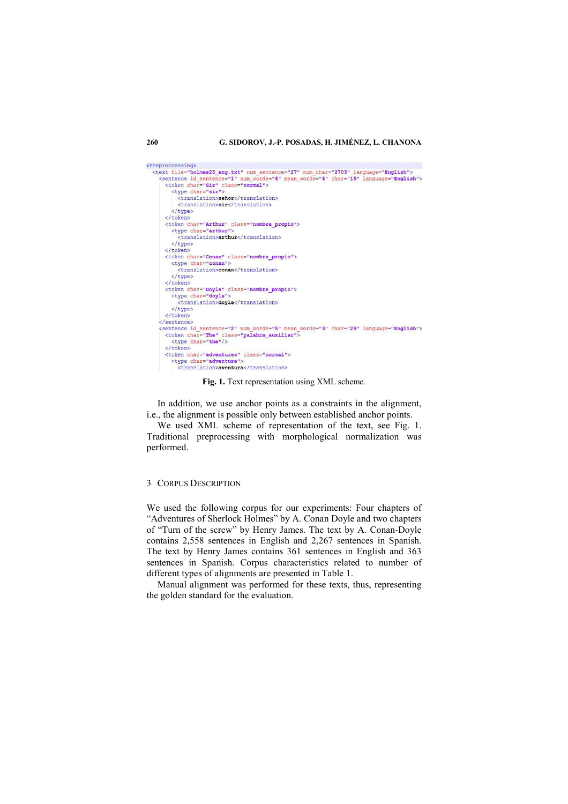#### **260 G. SIDOROV, J.-P. POSADAS, H. JIMÉNEZ, L. CHANONA**



**Fig. 1.** Text representation using XML scheme.

In addition, we use anchor points as a constraints in the alignment, i.e., the alignment is possible only between established anchor points.

We used XML scheme of representation of the text, see Fig. 1. Traditional preprocessing with morphological normalization was performed.

#### 3 CORPUS DESCRIPTION

We used the following corpus for our experiments: Four chapters of "Adventures of Sherlock Holmes" by A. Conan Doyle and two chapters of "Turn of the screw" by Henry James. The text by A. Conan-Doyle contains 2,558 sentences in English and 2,267 sentences in Spanish. The text by Henry James contains 361 sentences in English and 363 sentences in Spanish. Corpus characteristics related to number of different types of alignments are presented in Table 1.

Manual alignment was performed for these texts, thus, representing the golden standard for the evaluation.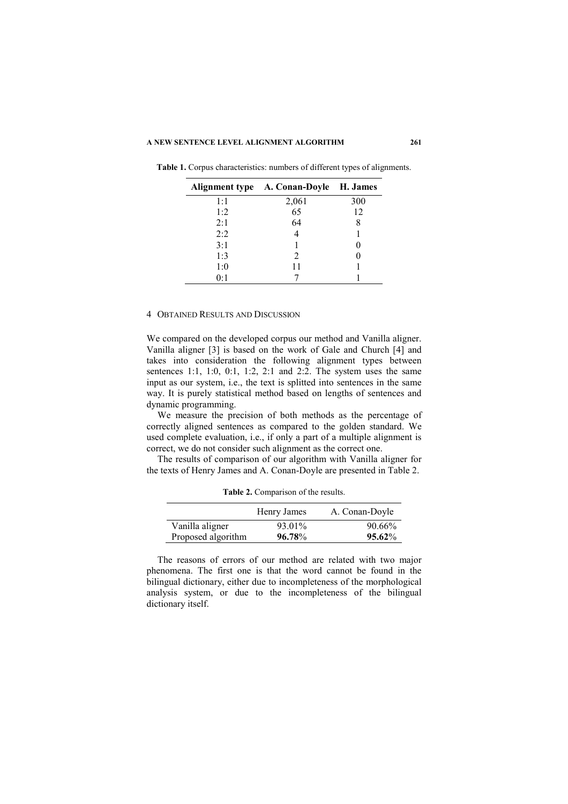|     | Alignment type A. Conan-Doyle H. James |     |
|-----|----------------------------------------|-----|
| 1:1 | 2,061                                  | 300 |
| 1:2 | 65                                     | 12  |
| 2:1 | 64                                     |     |
| 2:2 |                                        |     |
| 3:1 |                                        |     |
| 1:3 | 2                                      |     |
| 1:0 | 11                                     |     |
| 0:1 |                                        |     |

**Table 1.** Corpus characteristics: numbers of different types of alignments.

### 4 OBTAINED RESULTS AND DISCUSSION

We compared on the developed corpus our method and Vanilla aligner. Vanilla aligner [3] is based on the work of Gale and Church [4] and takes into consideration the following alignment types between sentences 1:1, 1:0, 0:1, 1:2, 2:1 and 2:2. The system uses the same input as our system, i.e., the text is splitted into sentences in the same way. It is purely statistical method based on lengths of sentences and dynamic programming.

We measure the precision of both methods as the percentage of correctly aligned sentences as compared to the golden standard. We used complete evaluation, i.e., if only a part of a multiple alignment is correct, we do not consider such alignment as the correct one.

The results of comparison of our algorithm with Vanilla aligner for the texts of Henry James and A. Conan-Doyle are presented in Table 2.

|                    | Henry James | A. Conan-Doyle |
|--------------------|-------------|----------------|
| Vanilla aligner    | 93.01%      | 90.66%         |
| Proposed algorithm | 96.78%      | 95.62%         |

**Table 2.** Comparison of the results.

The reasons of errors of our method are related with two major phenomena. The first one is that the word cannot be found in the bilingual dictionary, either due to incompleteness of the morphological analysis system, or due to the incompleteness of the bilingual dictionary itself.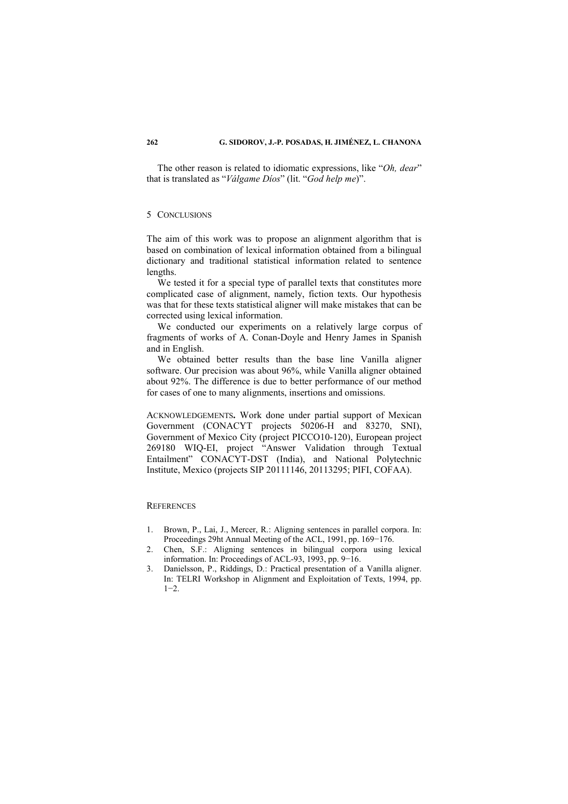The other reason is related to idiomatic expressions, like "*Oh, dear*" that is translated as "*Válgame Díos*" (lit. "*God help me*)".

## 5 CONCLUSIONS

The aim of this work was to propose an alignment algorithm that is based on combination of lexical information obtained from a bilingual dictionary and traditional statistical information related to sentence lengths.

We tested it for a special type of parallel texts that constitutes more complicated case of alignment, namely, fiction texts. Our hypothesis was that for these texts statistical aligner will make mistakes that can be corrected using lexical information.

We conducted our experiments on a relatively large corpus of fragments of works of A. Conan-Doyle and Henry James in Spanish and in English.

We obtained better results than the base line Vanilla aligner software. Our precision was about 96%, while Vanilla aligner obtained about 92%. The difference is due to better performance of our method for cases of one to many alignments, insertions and omissions.

ACKNOWLEDGEMENTS**.** Work done under partial support of Mexican Government (CONACYT projects 50206-H and 83270, SNI), Government of Mexico City (project PICCO10-120), European project 269180 WIQ-EI, project "Answer Validation through Textual Entailment" CONACYT-DST (India), and National Polytechnic Institute, Mexico (projects SIP 20111146, 20113295; PIFI, COFAA).

### **REFERENCES**

- 1. Brown, P., Lai, J., Mercer, R.: Aligning sentences in parallel corpora. In: Proceedings 29ht Annual Meeting of the ACL, 1991, pp. 169−176.
- 2. Chen, S.F.: Aligning sentences in bilingual corpora using lexical information. In: Proceedings of ACL-93, 1993, pp. 9−16.
- 3. Danielsson, P., Riddings, D.: Practical presentation of a Vanilla aligner. In: TELRI Workshop in Alignment and Exploitation of Texts, 1994, pp.  $1-2$